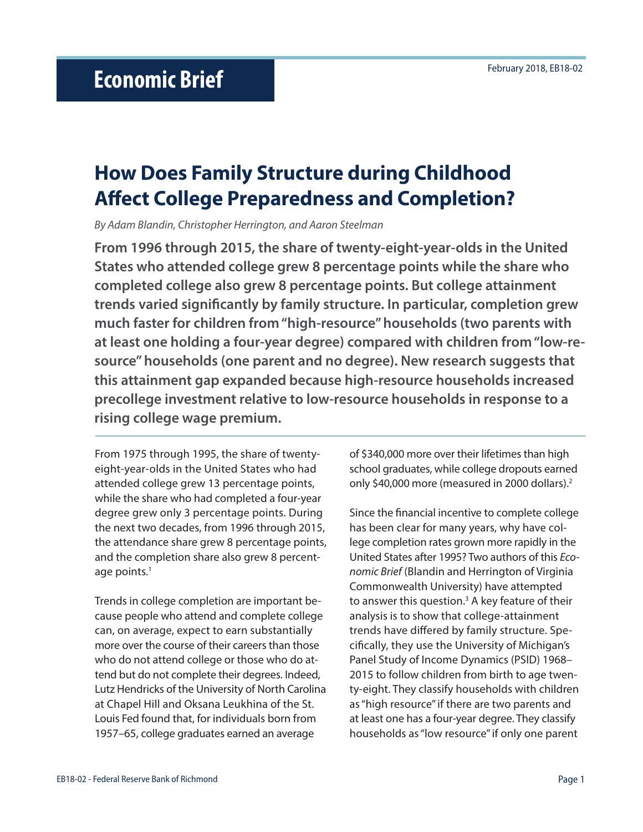# **How Does Family Structure during Childhood Affect College Preparedness and Completion?**

*By Adam Blandin, Christopher Herrington, and Aaron Steelman*

**From 1996 through 2015, the share of twenty-eight-year-olds in the United States who attended college grew 8 percentage points while the share who completed college also grew 8 percentage points. But college attainment trends varied significantly by family structure. In particular, completion grew much faster for children from "high-resource" households (two parents with at least one holding a four-year degree) compared with children from "low-resource" households (one parent and no degree). New research suggests that this attainment gap expanded because high-resource households increased precollege investment relative to low-resource households in response to a rising college wage premium.** 

From 1975 through 1995, the share of twentyeight-year-olds in the United States who had attended college grew 13 percentage points, while the share who had completed a four-year degree grew only 3 percentage points. During the next two decades, from 1996 through 2015, the attendance share grew 8 percentage points, and the completion share also grew 8 percentage points.<sup>1</sup>

Trends in college completion are important because people who attend and complete college can, on average, expect to earn substantially more over the course of their careers than those who do not attend college or those who do attend but do not complete their degrees. Indeed, Lutz Hendricks of the University of North Carolina at Chapel Hill and Oksana Leukhina of the St. Louis Fed found that, for individuals born from 1957–65, college graduates earned an average

of \$340,000 more over their lifetimes than high school graduates, while college dropouts earned only \$40,000 more (measured in 2000 dollars).2

Since the financial incentive to complete college has been clear for many years, why have college completion rates grown more rapidly in the United States after 1995? Two authors of this *Economic Brief* (Blandin and Herrington of Virginia Commonwealth University) have attempted to answer this question.<sup>3</sup> A key feature of their analysis is to show that college-attainment trends have differed by family structure. Specifically, they use the University of Michigan's Panel Study of Income Dynamics (PSID) 1968– 2015 to follow children from birth to age twenty-eight. They classify households with children as "high resource" if there are two parents and at least one has a four-year degree. They classify households as "low resource" if only one parent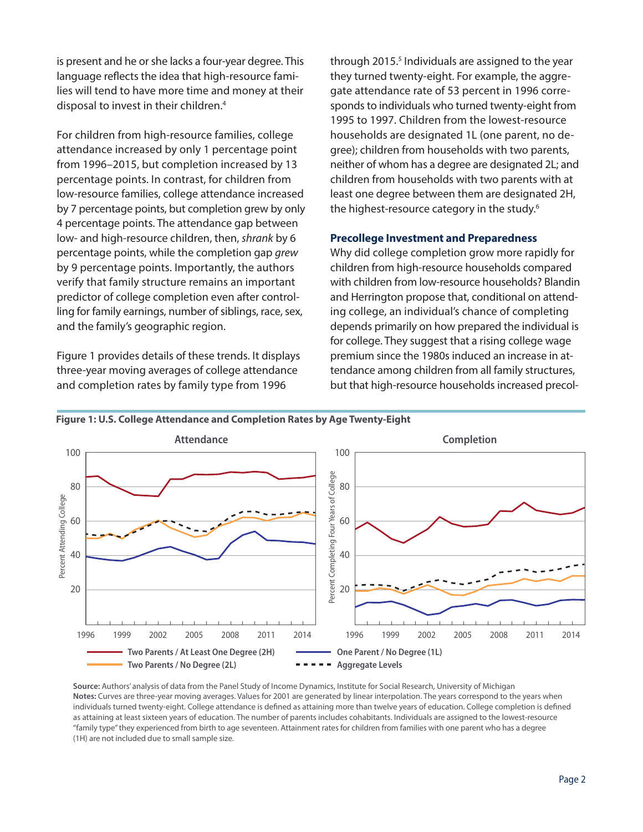is present and he or she lacks a four-year degree. This language reflects the idea that high-resource families will tend to have more time and money at their disposal to invest in their children.4

For children from high-resource families, college attendance increased by only 1 percentage point from 1996–2015, but completion increased by 13 percentage points. In contrast, for children from low-resource families, college attendance increased by 7 percentage points, but completion grew by only 4 percentage points. The attendance gap between low- and high-resource children, then, *shrank* by 6 percentage points, while the completion gap *grew* by 9 percentage points. Importantly, the authors verify that family structure remains an important predictor of college completion even after controlling for family earnings, number of siblings, race, sex, and the family's geographic region.

Figure 1 provides details of these trends. It displays three-year moving averages of college attendance and completion rates by family type from 1996

through 2015.<sup>5</sup> Individuals are assigned to the year they turned twenty-eight. For example, the aggregate attendance rate of 53 percent in 1996 corresponds to individuals who turned twenty-eight from 1995 to 1997. Children from the lowest-resource households are designated 1L (one parent, no degree); children from households with two parents, neither of whom has a degree are designated 2L; and children from households with two parents with at least one degree between them are designated 2H, the highest-resource category in the study.<sup>6</sup>

# **Precollege Investment and Preparedness**

Why did college completion grow more rapidly for children from high-resource households compared with children from low-resource households? Blandin and Herrington propose that, conditional on attending college, an individual's chance of completing depends primarily on how prepared the individual is for college. They suggest that a rising college wage premium since the 1980s induced an increase in attendance among children from all family structures, but that high-resource households increased precol-



#### **Figure 1: U.S. College Attendance and Completion Rates by Age Twenty-Eight**

**Source:** Authors' analysis of data from the Panel Study of Income Dynamics, Institute for Social Research, University of Michigan **Notes:** Curves are three-year moving averages. Values for 2001 are generated by linear interpolation. The years correspond to the years when individuals turned twenty-eight. College attendance is defined as attaining more than twelve years of education. College completion is defined as attaining at least sixteen years of education. The number of parents includes cohabitants. Individuals are assigned to the lowest-resource "family type" they experienced from birth to age seventeen. Attainment rates for children from families with one parent who has a degree (1H) are not included due to small sample size.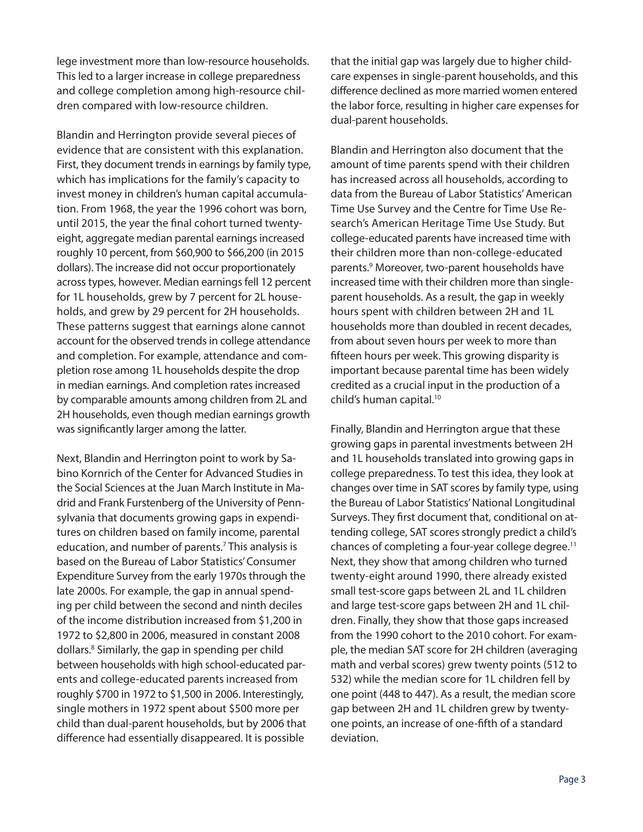lege investment more than low-resource households. This led to a larger increase in college preparedness and college completion among high-resource children compared with low-resource children.

Blandin and Herrington provide several pieces of evidence that are consistent with this explanation. First, they document trends in earnings by family type, which has implications for the family's capacity to invest money in children's human capital accumulation. From 1968, the year the 1996 cohort was born, until 2015, the year the final cohort turned twentyeight, aggregate median parental earnings increased roughly 10 percent, from \$60,900 to \$66,200 (in 2015 dollars). The increase did not occur proportionately across types, however. Median earnings fell 12 percent for 1L households, grew by 7 percent for 2L households, and grew by 29 percent for 2H households. These patterns suggest that earnings alone cannot account for the observed trends in college attendance and completion. For example, attendance and completion rose among 1L households despite the drop in median earnings. And completion rates increased by comparable amounts among children from 2L and 2H households, even though median earnings growth was significantly larger among the latter.

Next, Blandin and Herrington point to work by Sabino Kornrich of the Center for Advanced Studies in the Social Sciences at the Juan March Institute in Madrid and Frank Furstenberg of the University of Pennsylvania that documents growing gaps in expenditures on children based on family income, parental education, and number of parents.<sup>7</sup> This analysis is based on the Bureau of Labor Statistics' Consumer Expenditure Survey from the early 1970s through the late 2000s. For example, the gap in annual spending per child between the second and ninth deciles of the income distribution increased from \$1,200 in 1972 to \$2,800 in 2006, measured in constant 2008 dollars.8 Similarly, the gap in spending per child between households with high school-educated parents and college-educated parents increased from roughly \$700 in 1972 to \$1,500 in 2006. Interestingly, single mothers in 1972 spent about \$500 more per child than dual-parent households, but by 2006 that difference had essentially disappeared. It is possible

that the initial gap was largely due to higher childcare expenses in single-parent households, and this difference declined as more married women entered the labor force, resulting in higher care expenses for dual-parent households.

Blandin and Herrington also document that the amount of time parents spend with their children has increased across all households, according to data from the Bureau of Labor Statistics' American Time Use Survey and the Centre for Time Use Research's American Heritage Time Use Study. But college-educated parents have increased time with their children more than non-college-educated parents.9 Moreover, two-parent households have increased time with their children more than singleparent households. As a result, the gap in weekly hours spent with children between 2H and 1L households more than doubled in recent decades, from about seven hours per week to more than fifteen hours per week. This growing disparity is important because parental time has been widely credited as a crucial input in the production of a child's human capital.10

Finally, Blandin and Herrington argue that these growing gaps in parental investments between 2H and 1L households translated into growing gaps in college preparedness. To test this idea, they look at changes over time in SAT scores by family type, using the Bureau of Labor Statistics' National Longitudinal Surveys. They first document that, conditional on attending college, SAT scores strongly predict a child's chances of completing a four-year college degree.11 Next, they show that among children who turned twenty-eight around 1990, there already existed small test-score gaps between 2L and 1L children and large test-score gaps between 2H and 1L children. Finally, they show that those gaps increased from the 1990 cohort to the 2010 cohort. For example, the median SAT score for 2H children (averaging math and verbal scores) grew twenty points (512 to 532) while the median score for 1L children fell by one point (448 to 447). As a result, the median score gap between 2H and 1L children grew by twentyone points, an increase of one-fifth of a standard deviation.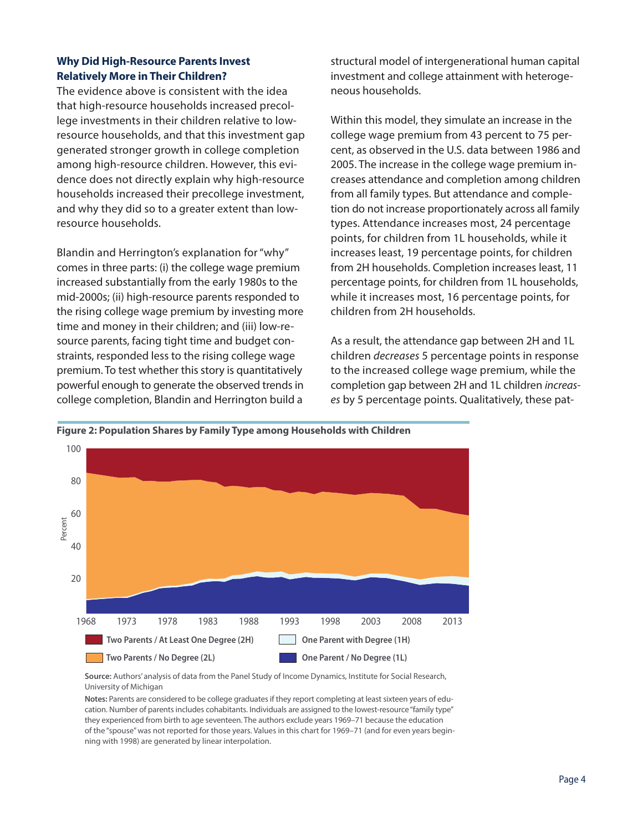# **Why Did High-Resource Parents Invest Relatively More in Their Children?**

The evidence above is consistent with the idea that high-resource households increased precollege investments in their children relative to lowresource households, and that this investment gap generated stronger growth in college completion among high-resource children. However, this evidence does not directly explain why high-resource households increased their precollege investment, and why they did so to a greater extent than lowresource households.

Blandin and Herrington's explanation for "why" comes in three parts: (i) the college wage premium increased substantially from the early 1980s to the mid-2000s; (ii) high-resource parents responded to the rising college wage premium by investing more time and money in their children; and (iii) low-resource parents, facing tight time and budget constraints, responded less to the rising college wage premium. To test whether this story is quantitatively powerful enough to generate the observed trends in college completion, Blandin and Herrington build a

structural model of intergenerational human capital investment and college attainment with heterogeneous households.

Within this model, they simulate an increase in the college wage premium from 43 percent to 75 percent, as observed in the U.S. data between 1986 and 2005. The increase in the college wage premium increases attendance and completion among children from all family types. But attendance and completion do not increase proportionately across all family types. Attendance increases most, 24 percentage points, for children from 1L households, while it increases least, 19 percentage points, for children from 2H households. Completion increases least, 11 percentage points, for children from 1L households, while it increases most, 16 percentage points, for children from 2H households.

As a result, the attendance gap between 2H and 1L children *decreases* 5 percentage points in response to the increased college wage premium, while the completion gap between 2H and 1L children *increases* by 5 percentage points. Qualitatively, these pat-





**Source:** Authors' analysis of data from the Panel Study of Income Dynamics, Institute for Social Research, University of Michigan

**Notes:** Parents are considered to be college graduates if they report completing at least sixteen years of education. Number of parents includes cohabitants. Individuals are assigned to the lowest-resource "family type" they experienced from birth to age seventeen. The authors exclude years 1969–71 because the education of the "spouse" was not reported for those years. Values in this chart for 1969–71 (and for even years beginning with 1998) are generated by linear interpolation.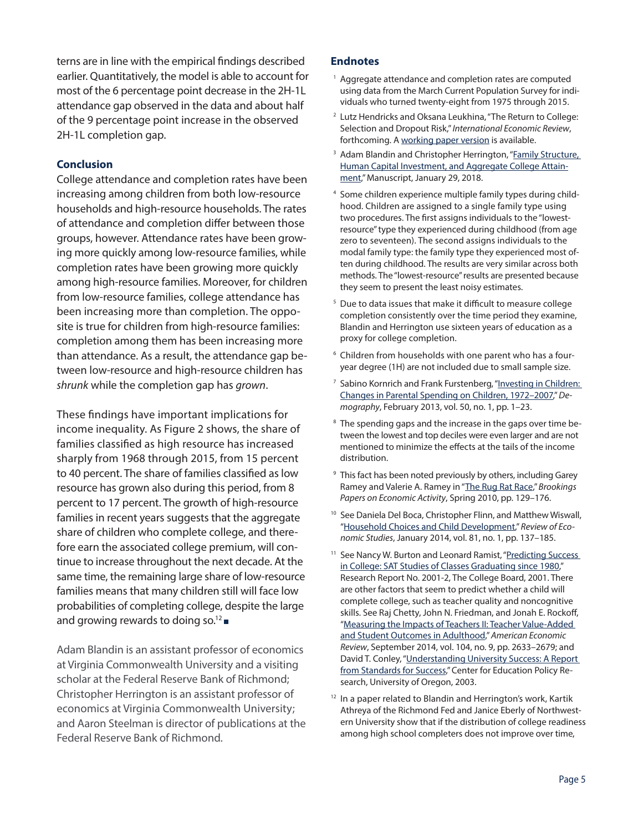terns are in line with the empirical findings described earlier. Quantitatively, the model is able to account for most of the 6 percentage point decrease in the 2H-1L attendance gap observed in the data and about half of the 9 percentage point increase in the observed 2H-1L completion gap.

## **Conclusion**

College attendance and completion rates have been increasing among children from both low-resource households and high-resource households. The rates of attendance and completion differ between those groups, however. Attendance rates have been growing more quickly among low-resource families, while completion rates have been growing more quickly among high-resource families. Moreover, for children from low-resource families, college attendance has been increasing more than completion. The opposite is true for children from high-resource families: completion among them has been increasing more than attendance. As a result, the attendance gap between low-resource and high-resource children has *shrunk* while the completion gap has *grown*.

These findings have important implications for income inequality. As Figure 2 shows, the share of families classified as high resource has increased sharply from 1968 through 2015, from 15 percent to 40 percent. The share of families classified as low resource has grown also during this period, from 8 percent to 17 percent. The growth of high-resource families in recent years suggests that the aggregate share of children who complete college, and therefore earn the associated college premium, will continue to increase throughout the next decade. At the same time, the remaining large share of low-resource families means that many children still will face low probabilities of completing college, despite the large and growing rewards to doing so.<sup>12</sup>

Adam Blandin is an assistant professor of economics at Virginia Commonwealth University and a visiting scholar at the Federal Reserve Bank of Richmond; Christopher Herrington is an assistant professor of economics at Virginia Commonwealth University; and Aaron Steelman is director of publications at the Federal Reserve Bank of Richmond.

### **Endnotes**

- <sup>1</sup> Aggregate attendance and completion rates are computed using data from the March Current Population Survey for individuals who turned twenty-eight from 1975 through 2015.
- <sup>2</sup> Lutz Hendricks and Oksana Leukhina, "The Return to College: Selection and Dropout Risk," *International Economic Review*, forthcoming. A [working paper version](http://dx.doi.org/10.2139/ssrn.2518430) is available.
- <sup>3</sup> Adam Blandin and Christopher Herrington, "Family Structure, [Human Capital Investment, and Aggregate College Attain](https://drive.google.com/file/d/12fZXyNij_8nwDLNfxbWdg_tLIfvGA4xL/view)[ment,](https://drive.google.com/file/d/12fZXyNij_8nwDLNfxbWdg_tLIfvGA4xL/view)" Manuscript, January 29, 2018.
- 4 Some children experience multiple family types during childhood. Children are assigned to a single family type using two procedures. The first assigns individuals to the "lowestresource" type they experienced during childhood (from age zero to seventeen). The second assigns individuals to the modal family type: the family type they experienced most often during childhood. The results are very similar across both methods. The "lowest-resource" results are presented because they seem to present the least noisy estimates.
- <sup>5</sup> Due to data issues that make it difficult to measure college completion consistently over the time period they examine, Blandin and Herrington use sixteen years of education as a proxy for college completion.
- <sup>6</sup> Children from households with one parent who has a fouryear degree (1H) are not included due to small sample size.
- <sup>7</sup> Sabino Kornrich and Frank Furstenberg, "Investing in Children: [Changes in Parental Spending on Children, 1972–2007,](http://doi.org/10.1007/s13524-012-0146-4)" *Demography*, February 2013, vol. 50, no. 1, pp. 1–23.
- <sup>8</sup> The spending gaps and the increase in the gaps over time between the lowest and top deciles were even larger and are not mentioned to minimize the effects at the tails of the income distribution.
- <sup>9</sup> This fact has been noted previously by others, including Garey Ramey and Valerie A. Ramey in "[The Rug Rat Race,](https://www.brookings.edu/wp-content/uploads/2010/03/2010a_bpea_ramey.pdf)" *Brookings Papers on Economic Activity*, Spring 2010, pp. 129–176.
- <sup>10</sup> See Daniela Del Boca, Christopher Flinn, and Matthew Wiswall, ["Household Choices and Child Development,](https://doi.org/10.1093/restud/rdt026)" *Review of Economic Studies*, January 2014, vol. 81, no. 1, pp. 137–185.
- <sup>11</sup> See Nancy W. Burton and Leonard Ramist, "Predicting Success [in College: SAT Studies of Classes Graduating since 1980,](https://research.collegeboard.org/publications/content/2012/05/predicting-success-college-sat-studies-classes-graduating-1980)" Research Report No. 2001-2, The College Board, 2001. There are other factors that seem to predict whether a child will complete college, such as teacher quality and noncognitive skills. See Raj Chetty, John N. Friedman, and Jonah E. Rockoff, ["Measuring the Impacts of Teachers II: Teacher Value-Added](http://doi.org/10.1257/aer.104.9.2633)  [and Student Outcomes in Adulthood](http://doi.org/10.1257/aer.104.9.2633)," *American Economic Review*, September 2014, vol. 104, no. 9, pp. 2633–2679; and David T. Conley, ["Understanding University Success: A Report](https://eric.ed.gov/?id=ED476300)  [from Standards for Success,](https://eric.ed.gov/?id=ED476300)" Center for Education Policy Research, University of Oregon, 2003.
- <sup>12</sup> In a paper related to Blandin and Herrington's work, Kartik Athreya of the Richmond Fed and Janice Eberly of Northwestern University show that if the distribution of college readiness among high school completers does not improve over time,